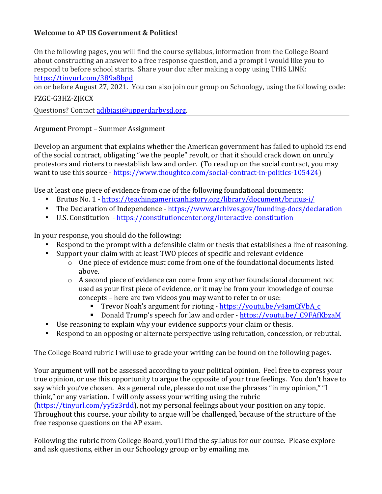#### **Welcome to AP US Government & Politics!**

On the following pages, you will find the course syllabus, information from the College Board about constructing an answer to a free response question, and a prompt I would like you to respond to before school starts. Share your doc after making a copy using THIS LINK: https://tinyurl.com/389a8bpd

on or before August 27, 2021. You can also join our group on Schoology, using the following code:

#### FZGC-G3HZ-ZJKCX

Questions? Contact adibiasi@upperdarbysd.org.

Argument Prompt – Summer Assignment

Develop an argument that explains whether the American government has failed to uphold its end of the social contract, obligating "we the people" revolt, or that it should crack down on unruly protestors and rioters to reestablish law and order. (To read up on the social contract, you may want to use this source - https://www.thoughtco.com/social-contract-in-politics-105424)

Use at least one piece of evidence from one of the following foundational documents:

- Brutus No. 1 https://teachingamericanhistory.org/library/document/brutus-i/
- The Declaration of Independence https://www.archives.gov/founding-docs/declaration
- U.S. Constitution https://constitutioncenter.org/interactive-constitution

In your response, you should do the following:

- Respond to the prompt with a defensible claim or thesis that establishes a line of reasoning.
- Support your claim with at least TWO pieces of specific and relevant evidence
	- $\circ$  One piece of evidence must come from one of the foundational documents listed above.
	- $\circ$  A second piece of evidence can come from any other foundational document not used as your first piece of evidence, or it may be from your knowledge of course concepts – here are two videos you may want to refer to or use:
		- Trevor Noah's argument for rioting https://youtu.be/v4amCfVbA\_c
		- Donald Trump's speech for law and order https://youtu.be/\_C9FAfKbzaM
- Use reasoning to explain why your evidence supports your claim or thesis.
- Respond to an opposing or alternate perspective using refutation, concession, or rebuttal.

The College Board rubric I will use to grade your writing can be found on the following pages.

Your argument will not be assessed according to your political opinion. Feel free to express your true opinion, or use this opportunity to argue the opposite of your true feelings. You don't have to say which you've chosen. As a general rule, please do not use the phrases "in my opinion," "I think," or any variation. I will only assess your writing using the rubric

 $(\text{https://tinyul.com/yy5z3rdd)}$ , not my personal feelings about your position on any topic. Throughout this course, your ability to argue will be challenged, because of the structure of the free response questions on the AP exam.

Following the rubric from College Board, you'll find the syllabus for our course. Please explore and ask questions, either in our Schoology group or by emailing me.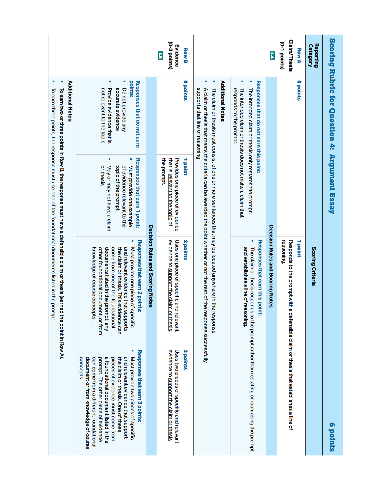|                                                                                                                             |                                                                                                                                                                                                                                                                                                                                                                    |                                  | (0-3 points)<br>Evidence<br><b>Row B</b><br>e.e                                                     |                                                                                                                                                                                                                                    |                                                                                                                                                                                        | e,                               | <b>Claim/Thesis</b><br>(0-1 points)<br><b>Row A</b>    | Reporting<br><b>Category</b> |                                               |
|-----------------------------------------------------------------------------------------------------------------------------|--------------------------------------------------------------------------------------------------------------------------------------------------------------------------------------------------------------------------------------------------------------------------------------------------------------------------------------------------------------------|----------------------------------|-----------------------------------------------------------------------------------------------------|------------------------------------------------------------------------------------------------------------------------------------------------------------------------------------------------------------------------------------|----------------------------------------------------------------------------------------------------------------------------------------------------------------------------------------|----------------------------------|--------------------------------------------------------|------------------------------|-----------------------------------------------|
| Additional Notes:                                                                                                           | $\bullet$<br>Responses that do not earn<br>points:<br>Provide evidence that is<br>not relevant to the topic<br>accurate evidence<br>Do not provide any                                                                                                                                                                                                             |                                  | <b>Opoints</b>                                                                                      | ۰<br>Additional Notes:<br>supports that line of reasoning.                                                                                                                                                                         | Responses that do not earn this point:<br>The intended claim or thesis does not make a claim that<br>The intended claim or thesis only restates the prompt.<br>responds to the prompt. |                                  | <b>Opoints</b>                                         |                              | Scoring Rubric for Question 4: Argument Essay |
| To earn two or three points in Row of the reasons a defensible claim or thesis (earned                                      | $\bullet$<br>Responses that earn 1 point:<br>or thesis<br>May or may not have a claim<br>Must provide one example<br>topic of the prompt<br>of evidence relevant to the                                                                                                                                                                                            |                                  | that is <u>relevant to the topic</u> of<br>Provides one piece of evidence<br>1 point<br>the prompt. |                                                                                                                                                                                                                                    |                                                                                                                                                                                        |                                  |                                                        |                              |                                               |
| To earn three points, the response must use one of the foundational documents listed in the prompt.<br>the point in Row A). | Responses that earn 2 points:<br>documents listed in the prompt, any<br>Must provide one piece of specific<br>other foundational document, or from<br>come from one of the foundational<br>the claim or thesis. This evidence can<br>and relevant evidence that supports<br>knowledge of course concepts.                                                          | Decision Rules and Scoring Notes | evidence to support the claim or thesis.<br>Uses one piece of specific and relevant<br>2 points     | The claim or thesis must consist of one or more sentences that may be located anywhere in the response.<br>A claim or thesis that meets the criteria can be awarded the point whether or not the rest of the response successfully | Responses that earn this point:<br>and establishes a line of reasoning.                                                                                                                | Decision Rules and Scoring Notes | reasoning.<br>Responds to the prompt with a<br>1 point | Scoring Criteria             |                                               |
|                                                                                                                             | Responses that earn 3 points:<br>a foundational document listed in the<br>concepts<br>document or from knowledge of course<br>prompt. The other piece of evidence<br>pieces of evidence must come from<br>and relevant evidence that support<br>Must provide two pieces of specific<br>can come from a different foundational<br>the claim or thesis. One of these |                                  | Uses two pieces of specific and relevant<br>evidence to support the claim or thesis<br>3 points     |                                                                                                                                                                                                                                    | The claim or thesis responds to the prompt rather than restating or rephrasing the prompt                                                                                              |                                  | detensible claim or thesis that establishes a line of  |                              | <b>6 points</b>                               |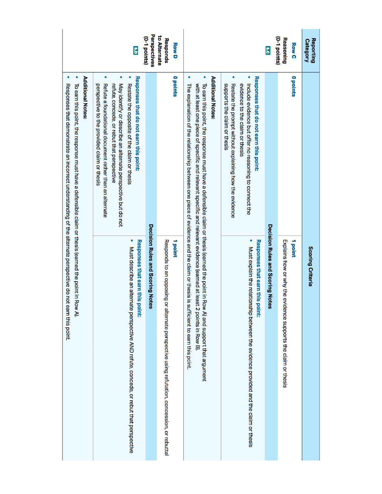|                                                                                                                                                                                                                                                           | g<br>U                                                                                                                                                                                                                                                                                                                                               | Perspectives<br>(0-1 points)                                                                                                                                                                                                                                                                                                                                                                                        | to Alternate<br>Responds<br><b>Row D</b>                                                                 |                                                                                                                                                                                                                                            |                                                                                                                                          | ှိ<br>ဂ                          | (0-1 points)<br><b>Reasoning</b><br><b>Row C</b>                         | <b>Reporting</b><br><b>Category</b> |
|-----------------------------------------------------------------------------------------------------------------------------------------------------------------------------------------------------------------------------------------------------------|------------------------------------------------------------------------------------------------------------------------------------------------------------------------------------------------------------------------------------------------------------------------------------------------------------------------------------------------------|---------------------------------------------------------------------------------------------------------------------------------------------------------------------------------------------------------------------------------------------------------------------------------------------------------------------------------------------------------------------------------------------------------------------|----------------------------------------------------------------------------------------------------------|--------------------------------------------------------------------------------------------------------------------------------------------------------------------------------------------------------------------------------------------|------------------------------------------------------------------------------------------------------------------------------------------|----------------------------------|--------------------------------------------------------------------------|-------------------------------------|
| $\bullet$<br>Additional Notes:<br>Responses that demonstrate an incorrect understanding of the alternate perspective do not earn this point.<br>To earn this point in Row of the response must have a defensible claim or thesis (earned the point in Row | $\bullet$<br>$\bullet$<br>$\bullet$<br>Responses that do not earn this point:<br>May identify or describe an alternate perspective but do not<br>Restate the opposite of the claim or thesis<br>Refute a foundational document rather than an alternate<br>perspective to the provided claim or thesis<br>refute, concede, or rebut that perspective | $\bullet$<br><b>Opoints</b><br>with at least one piece of specific and relevant specific and relevant evidence (earned at least 2 points in Row B).<br>To earn this point, the response must have a defensible claim or thesis (earned the point in Row A) and support that argument<br>The explanation of the relationship between one piece of evidence and the claim or thesis is sufficient to earn this point. | <b>Additional Notes</b>                                                                                  | $\bullet$<br>Responses that do not earn this point:<br>Restate the prompt without explaining how the evidence<br>Include evidence but offer no reasoning to connect the<br>supports the claim or thesis<br>evidence to the claim or thesis |                                                                                                                                          | <b>Opoints</b>                   |                                                                          |                                     |
| Ξ                                                                                                                                                                                                                                                         | Responses that earn this point:<br>Must describe an alternate perspective AND refute, concede, or rebut that perspective                                                                                                                                                                                                                             | Decision Rules and Scoring Notes                                                                                                                                                                                                                                                                                                                                                                                    | Responds to an opposing or<br>1 point<br>alternate perspective using refutation, concession, or rebuttal |                                                                                                                                                                                                                                            | $\bullet$<br>Responses that earn this point:<br>Must explain the relationsl<br>hip between the evidence provided and the claim or thesis | Decision Rules and Scoring Notes | 1 point<br>Explains how or why the evidence supports the claim or thesis | Scoring Criteria                    |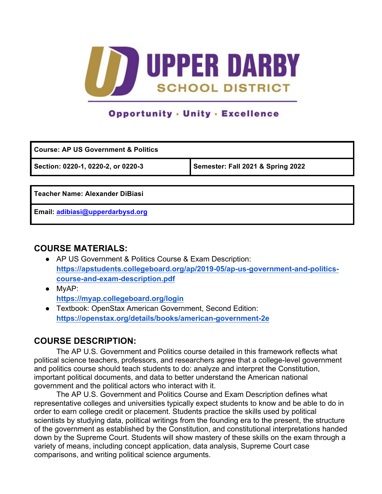

# **Opportunity - Unity - Excellence**

| <b>Course: AP US Government &amp; Politics</b> |  |  |  |  |
|------------------------------------------------|--|--|--|--|
| Semester: Fall 2021 & Spring 2022              |  |  |  |  |
|                                                |  |  |  |  |
| Teacher Name: Alexander DiBiasi                |  |  |  |  |
|                                                |  |  |  |  |

**Email: adibiasi@upperdarbysd.org**

#### **COURSE MATERIALS:**

- AP US Government & Politics Course & Exam Description: **https://apstudents.collegeboard.org/ap/2019-05/ap-us-government-and-politicscourse-and-exam-description.pdf**
- MyAP: **https://myap.collegeboard.org/login**
- Textbook: OpenStax American Government, Second Edition: **https://openstax.org/details/books/american-government-2e**

#### **COURSE DESCRIPTION:**

The AP U.S. Government and Politics course detailed in this framework reflects what political science teachers, professors, and researchers agree that a college-level government and politics course should teach students to do: analyze and interpret the Constitution, important political documents, and data to better understand the American national government and the political actors who interact with it.

The AP U.S. Government and Politics Course and Exam Description defines what representative colleges and universities typically expect students to know and be able to do in order to earn college credit or placement. Students practice the skills used by political scientists by studying data, political writings from the founding era to the present, the structure of the government as established by the Constitution, and constitutional interpretations handed down by the Supreme Court. Students will show mastery of these skills on the exam through a variety of means, including concept application, data analysis, Supreme Court case comparisons, and writing political science arguments.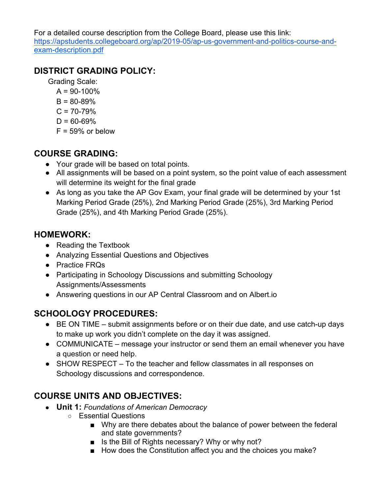For a detailed course description from the College Board, please use this link: https://apstudents.collegeboard.org/ap/2019-05/ap-us-government-and-politics-course-andexam-description.pdf

## **DISTRICT GRADING POLICY:**

Grading Scale:

- $A = 90 100\%$
- $B = 80 89%$
- $C = 70 79%$
- $D = 60 69%$
- $F = 59\%$  or below

## **COURSE GRADING:**

- Your grade will be based on total points.
- All assignments will be based on a point system, so the point value of each assessment will determine its weight for the final grade
- As long as you take the AP Gov Exam, your final grade will be determined by your 1st Marking Period Grade (25%), 2nd Marking Period Grade (25%), 3rd Marking Period Grade (25%), and 4th Marking Period Grade (25%).

### **HOMEWORK:**

- Reading the Textbook
- Analyzing Essential Questions and Objectives
- Practice FRQs
- Participating in Schoology Discussions and submitting Schoology Assignments/Assessments
- Answering questions in our AP Central Classroom and on Albert.io

# **SCHOOLOGY PROCEDURES:**

- BE ON TIME submit assignments before or on their due date, and use catch-up days to make up work you didn't complete on the day it was assigned.
- COMMUNICATE message your instructor or send them an email whenever you have a question or need help.
- SHOW RESPECT To the teacher and fellow classmates in all responses on Schoology discussions and correspondence.

# **COURSE UNITS AND OBJECTIVES:**

- **Unit 1:** *Foundations of American Democracy*
	- Essential Questions
		- Why are there debates about the balance of power between the federal and state governments?
		- Is the Bill of Rights necessary? Why or why not?
		- How does the Constitution affect you and the choices you make?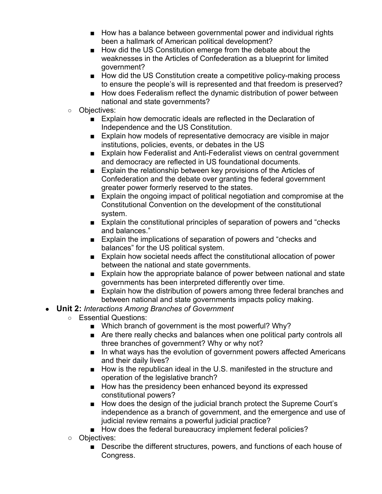- How has a balance between governmental power and individual rights been a hallmark of American political development?
- How did the US Constitution emerge from the debate about the weaknesses in the Articles of Confederation as a blueprint for limited government?
- How did the US Constitution create a competitive policy-making process to ensure the people's will is represented and that freedom is preserved?
- How does Federalism reflect the dynamic distribution of power between national and state governments?
- Objectives:
	- Explain how democratic ideals are reflected in the Declaration of Independence and the US Constitution.
	- Explain how models of representative democracy are visible in major institutions, policies, events, or debates in the US
	- Explain how Federalist and Anti-Federalist views on central government and democracy are reflected in US foundational documents.
	- Explain the relationship between key provisions of the Articles of Confederation and the debate over granting the federal government greater power formerly reserved to the states.
	- Explain the ongoing impact of political negotiation and compromise at the Constitutional Convention on the development of the constitutional system.
	- Explain the constitutional principles of separation of powers and "checks" and balances."
	- Explain the implications of separation of powers and "checks and balances" for the US political system.
	- Explain how societal needs affect the constitutional allocation of power between the national and state governments.
	- Explain how the appropriate balance of power between national and state governments has been interpreted differently over time.
	- Explain how the distribution of powers among three federal branches and between national and state governments impacts policy making.
- **Unit 2:** *Interactions Among Branches of Government*
	- Essential Questions:
		- Which branch of government is the most powerful? Why?
		- Are there really checks and balances when one political party controls all three branches of government? Why or why not?
		- In what ways has the evolution of government powers affected Americans and their daily lives?
		- How is the republican ideal in the U.S. manifested in the structure and operation of the legislative branch?
		- How has the presidency been enhanced beyond its expressed constitutional powers?
		- How does the design of the judicial branch protect the Supreme Court's independence as a branch of government, and the emergence and use of judicial review remains a powerful judicial practice?
		- How does the federal bureaucracy implement federal policies?
	- Objectives:
		- Describe the different structures, powers, and functions of each house of Congress.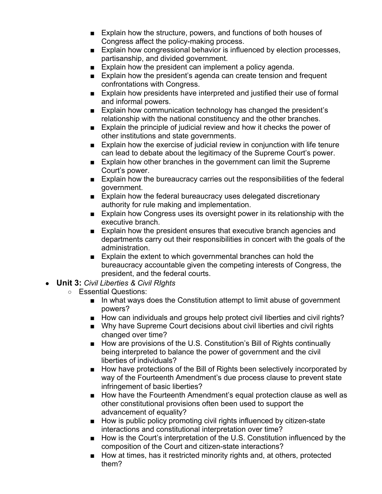- Explain how the structure, powers, and functions of both houses of Congress affect the policy-making process.
- Explain how congressional behavior is influenced by election processes, partisanship, and divided government.
- Explain how the president can implement a policy agenda.
- Explain how the president's agenda can create tension and frequent confrontations with Congress.
- Explain how presidents have interpreted and justified their use of formal and informal powers.
- Explain how communication technology has changed the president's relationship with the national constituency and the other branches.
- Explain the principle of judicial review and how it checks the power of other institutions and state governments.
- Explain how the exercise of judicial review in conjunction with life tenure can lead to debate about the legitimacy of the Supreme Court's power.
- Explain how other branches in the government can limit the Supreme Court's power.
- Explain how the bureaucracy carries out the responsibilities of the federal government.
- Explain how the federal bureaucracy uses delegated discretionary authority for rule making and implementation.
- Explain how Congress uses its oversight power in its relationship with the executive branch.
- Explain how the president ensures that executive branch agencies and departments carry out their responsibilities in concert with the goals of the administration.
- Explain the extent to which governmental branches can hold the bureaucracy accountable given the competing interests of Congress, the president, and the federal courts.
- **Unit 3:** *Civil Liberties & Civil RIghts*
	- Essential Questions:
		- In what ways does the Constitution attempt to limit abuse of government powers?
		- How can individuals and groups help protect civil liberties and civil rights?
		- Why have Supreme Court decisions about civil liberties and civil rights changed over time?
		- How are provisions of the U.S. Constitution's Bill of Rights continually being interpreted to balance the power of government and the civil liberties of individuals?
		- How have protections of the Bill of Rights been selectively incorporated by way of the Fourteenth Amendment's due process clause to prevent state infringement of basic liberties?
		- How have the Fourteenth Amendment's equal protection clause as well as other constitutional provisions often been used to support the advancement of equality?
		- How is public policy promoting civil rights influenced by citizen-state interactions and constitutional interpretation over time?
		- How is the Court's interpretation of the U.S. Constitution influenced by the composition of the Court and citizen-state interactions?
		- How at times, has it restricted minority rights and, at others, protected them?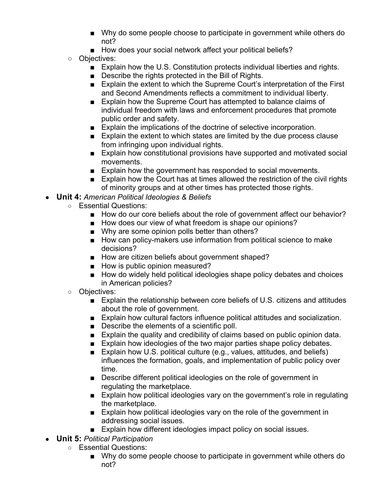- Why do some people choose to participate in government while others do not?
- How does your social network affect your political beliefs?
- Objectives:
	- Explain how the U.S. Constitution protects individual liberties and rights.
	- Describe the rights protected in the Bill of Rights.
	- Explain the extent to which the Supreme Court's interpretation of the First and Second Amendments reflects a commitment to individual liberty.
	- Explain how the Supreme Court has attempted to balance claims of individual freedom with laws and enforcement procedures that promote public order and safety.
	- Explain the implications of the doctrine of selective incorporation.
	- Explain the extent to which states are limited by the due process clause from infringing upon individual rights.
	- Explain how constitutional provisions have supported and motivated social movements.
	- Explain how the government has responded to social movements.
	- Explain how the Court has at times allowed the restriction of the civil rights of minority groups and at other times has protected those rights.
- **Unit 4:** *American Political Ideologies & Beliefs*
	- Essential Questions:
		- How do our core beliefs about the role of government affect our behavior?
		- How does our view of what freedom is shape our opinions?
		- Why are some opinion polls better than others?
		- How can policy-makers use information from political science to make decisions?
		- How are citizen beliefs about government shaped?
		- How is public opinion measured?
		- How do widely held political ideologies shape policy debates and choices in American policies?
	- Objectives:
		- Explain the relationship between core beliefs of U.S. citizens and attitudes about the role of government.
		- Explain how cultural factors influence political attitudes and socialization.
		- Describe the elements of a scientific poll.
		- Explain the quality and credibility of claims based on public opinion data.
		- Explain how ideologies of the two major parties shape policy debates.
		- Explain how U.S. political culture (e.g., values, attitudes, and beliefs) influences the formation, goals, and implementation of public policy over time.
		- Describe different political ideologies on the role of government in regulating the marketplace.
		- Explain how political ideologies vary on the government's role in regulating the marketplace.
		- Explain how political ideologies vary on the role of the government in addressing social issues.
		- Explain how different ideologies impact policy on social issues.
- **Unit 5:** *Political Participation*
	- Essential Questions:
		- Why do some people choose to participate in government while others do not?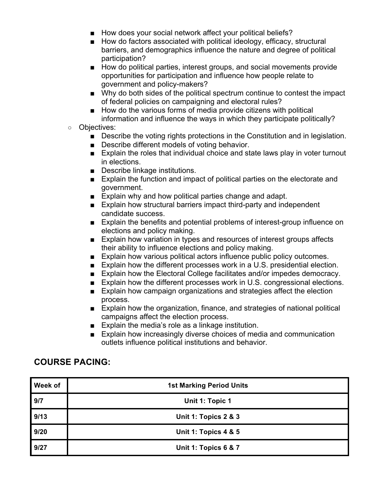- How does your social network affect your political beliefs?
- How do factors associated with political ideology, efficacy, structural barriers, and demographics influence the nature and degree of political participation?
- How do political parties, interest groups, and social movements provide opportunities for participation and influence how people relate to government and policy-makers?
- Why do both sides of the political spectrum continue to contest the impact of federal policies on campaigning and electoral rules?
- How do the various forms of media provide citizens with political information and influence the ways in which they participate politically?
- Objectives:
	- Describe the voting rights protections in the Constitution and in legislation.
	- Describe different models of voting behavior.
	- Explain the roles that individual choice and state laws play in voter turnout in elections.
	- Describe linkage institutions.
	- Explain the function and impact of political parties on the electorate and government.
	- Explain why and how political parties change and adapt.
	- Explain how structural barriers impact third-party and independent candidate success.
	- Explain the benefits and potential problems of interest-group influence on elections and policy making.
	- Explain how variation in types and resources of interest groups affects their ability to influence elections and policy making.
	- Explain how various political actors influence public policy outcomes.
	- Explain how the different processes work in a U.S. presidential election.
	- Explain how the Electoral College facilitates and/or impedes democracy.
	- Explain how the different processes work in U.S. congressional elections.
	- Explain how campaign organizations and strategies affect the election process.
	- Explain how the organization, finance, and strategies of national political campaigns affect the election process.
	- Explain the media's role as a linkage institution.
	- Explain how increasingly diverse choices of media and communication outlets influence political institutions and behavior.

### **COURSE PACING:**

| <b>Week of</b> | <b>1st Marking Period Units</b> |
|----------------|---------------------------------|
| 9/7            | Unit 1: Topic 1                 |
| 9/13           | Unit 1: Topics 2 & 3            |
| 9/20           | <b>Unit 1: Topics 4 &amp; 5</b> |
| 9/27           | Unit 1: Topics 6 & 7            |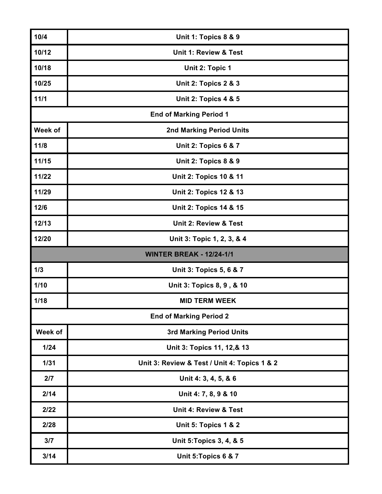| 10/4    | Unit 1: Topics 8 & 9                         |
|---------|----------------------------------------------|
| 10/12   | Unit 1: Review & Test                        |
| 10/18   | Unit 2: Topic 1                              |
| 10/25   | Unit 2: Topics 2 & 3                         |
| 11/1    | <b>Unit 2: Topics 4 &amp; 5</b>              |
|         | <b>End of Marking Period 1</b>               |
| Week of | <b>2nd Marking Period Units</b>              |
| 11/8    | Unit 2: Topics 6 & 7                         |
| 11/15   | <b>Unit 2: Topics 8 &amp; 9</b>              |
| 11/22   | <b>Unit 2: Topics 10 &amp; 11</b>            |
| 11/29   | <b>Unit 2: Topics 12 &amp; 13</b>            |
| 12/6    | <b>Unit 2: Topics 14 &amp; 15</b>            |
| 12/13   | Unit 2: Review & Test                        |
| 12/20   | Unit 3: Topic 1, 2, 3, & 4                   |
|         |                                              |
|         | <b>WINTER BREAK - 12/24-1/1</b>              |
| 1/3     | Unit 3: Topics 5, 6 & 7                      |
| $1/10$  | Unit 3: Topics 8, 9, & 10                    |
| 1/18    | <b>MID TERM WEEK</b>                         |
|         | <b>End of Marking Period 2</b>               |
| Week of | <b>3rd Marking Period Units</b>              |
| $1/24$  | Unit 3: Topics 11, 12,& 13                   |
| 1/31    | Unit 3: Review & Test / Unit 4: Topics 1 & 2 |
| 2/7     | Unit 4: 3, 4, 5, & 6                         |
| 2/14    | Unit 4: 7, 8, 9 & 10                         |
| 2/22    | <b>Unit 4: Review &amp; Test</b>             |
| 2/28    | Unit 5: Topics 1 & 2                         |
| 3/7     | Unit 5: Topics 3, 4, & 5                     |